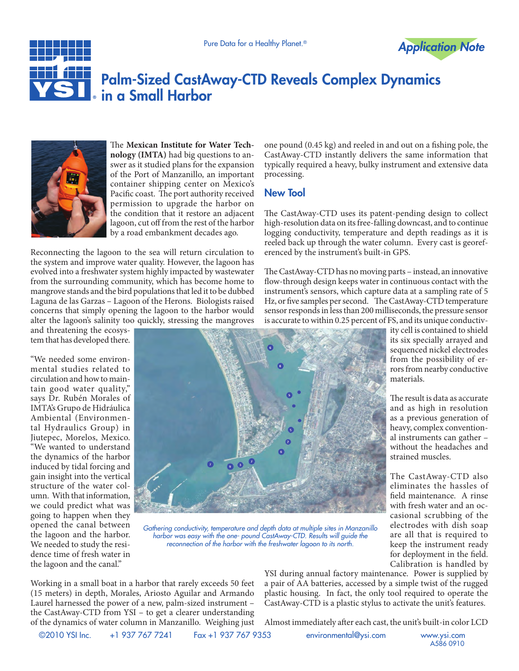



## Palm-Sized CastAway-CTD Reveals Complex Dynamics in a Small Harbor



The **Mexican Institute for Water Technology (IMTA)** had big questions to answer as it studied plans for the expansion of the Port of Manzanillo, an important container shipping center on Mexico's Pacific coast. The port authority received permission to upgrade the harbor on the condition that it restore an adjacent lagoon, cut off from the rest of the harbor by a road embankment decades ago.

Reconnecting the lagoon to the sea will return circulation to the system and improve water quality. However, the lagoon has evolved into a freshwater system highly impacted by wastewater from the surrounding community, which has become home to mangrove stands and the bird populations that led it to be dubbed Laguna de las Garzas – Lagoon of the Herons. Biologists raised concerns that simply opening the lagoon to the harbor would alter the lagoon's salinity too quickly, stressing the mangroves

and threatening the ecosystem that has developed there.

"We needed some environmental studies related to circulation and how to maintain good water quality," says Dr. Rubén Morales of IMTA's Grupo de Hidráulica Ambiental (Environmental Hydraulics Group) in Jiutepec, Morelos, Mexico. "We wanted to understand the dynamics of the harbor induced by tidal forcing and gain insight into the vertical structure of the water column. With that information, we could predict what was going to happen when they opened the canal between the lagoon and the harbor. We needed to study the residence time of fresh water in the lagoon and the canal."



*Gathering conductivity, temperature and depth data at multiple sites in Manzanillo harbor was easy with the one- pound CastAway-CTD. Results will guide the reconnection of the harbor with the freshwater lagoon to its north.*

one pound (0.45 kg) and reeled in and out on a fishing pole, the CastAway-CTD instantly delivers the same information that typically required a heavy, bulky instrument and extensive data processing.

## New Tool

The CastAway-CTD uses its patent-pending design to collect high-resolution data on its free-falling downcast, and to continue logging conductivity, temperature and depth readings as it is reeled back up through the water column. Every cast is georeferenced by the instrument's built-in GPS.

The CastAway-CTD has no moving parts – instead, an innovative flow-through design keeps water in continuous contact with the instrument's sensors, which capture data at a sampling rate of 5 Hz, or five samples per second. The CastAway-CTD temperature sensor responds in less than 200 milliseconds, the pressure sensor is accurate to within 0.25 percent of FS, and its unique conductiv-

ity cell is contained to shield its six specially arrayed and sequenced nickel electrodes from the possibility of errors from nearby conductive materials.

The result is data as accurate and as high in resolution as a previous generation of heavy, complex conventional instruments can gather – without the headaches and strained muscles.

The CastAway-CTD also eliminates the hassles of field maintenance. A rinse with fresh water and an occasional scrubbing of the electrodes with dish soap are all that is required to keep the instrument ready for deployment in the field. Calibration is handled by

Working in a small boat in a harbor that rarely exceeds 50 feet (15 meters) in depth, Morales, Ariosto Aguilar and Armando Laurel harnessed the power of a new, palm-sized instrument – the CastAway-CTD from YSI – to get a clearer understanding of the dynamics of water column in Manzanillo. Weighing just YSI during annual factory maintenance. Power is supplied by a pair of AA batteries, accessed by a simple twist of the rugged plastic housing. In fact, the only tool required to operate the CastAway-CTD is a plastic stylus to activate the unit's features.

Almost immediately after each cast, the unit's built-in color LCD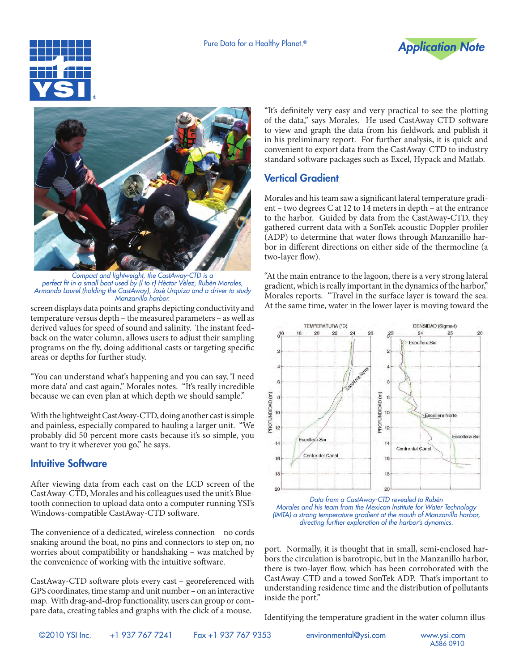





*Compact and lightweight, the CastAway-CTD is a perfect fit in a small boat used by (l to r) Hèctor Vèlez, Rubèn Morales, Armando Laurel (holding the CastAway), Josè Urquiza and a driver to study Manzanillo harbor.*

screen displays data points and graphs depicting conductivity and temperature versus depth – the measured parameters – as well as derived values for speed of sound and salinity. The instant feedback on the water column, allows users to adjust their sampling programs on the fly, doing additional casts or targeting specific areas or depths for further study.

"You can understand what's happening and you can say, 'I need more data' and cast again," Morales notes. "It's really incredible because we can even plan at which depth we should sample."

With the lightweight CastAway-CTD, doing another cast is simple and painless, especially compared to hauling a larger unit. "We probably did 50 percent more casts because it's so simple, you want to try it wherever you go," he says.

## Intuitive Software

After viewing data from each cast on the LCD screen of the CastAway-CTD, Morales and his colleagues used the unit's Bluetooth connection to upload data onto a computer running YSI's Windows-compatible CastAway-CTD software.

The convenience of a dedicated, wireless connection – no cords snaking around the boat, no pins and connectors to step on, no worries about compatibility or handshaking – was matched by the convenience of working with the intuitive software.

CastAway-CTD software plots every cast – georeferenced with GPS coordinates, time stamp and unit number – on an interactive map. With drag-and-drop functionality, users can group or compare data, creating tables and graphs with the click of a mouse.

"It's definitely very easy and very practical to see the plotting of the data," says Morales. He used CastAway-CTD software to view and graph the data from his fieldwork and publish it in his preliminary report. For further analysis, it is quick and convenient to export data from the CastAway-CTD to industry standard software packages such as Excel, Hypack and Matlab.

## Vertical Gradient

Morales and his team saw a significant lateral temperature gradient – two degrees C at 12 to 14 meters in depth – at the entrance to the harbor. Guided by data from the CastAway-CTD, they gathered current data with a SonTek acoustic Doppler profiler (ADP) to determine that water flows through Manzanillo harbor in different directions on either side of the thermocline (a two-layer flow).

"At the main entrance to the lagoon, there is a very strong lateral gradient, which is really important in the dynamics of the harbor," Morales reports. "Travel in the surface layer is toward the sea. At the same time, water in the lower layer is moving toward the



*Data from a CastAway-CTD revealed to Rubèn Morales and his team from the Mexican Institute for Water Technology (IMTA) a strong temperature gradient at the mouth of Manzanillo harbor, directing further exploration of the harbor's dynamics.*

port. Normally, it is thought that in small, semi-enclosed harbors the circulation is barotropic, but in the Manzanillo harbor, there is two-layer flow, which has been corroborated with the CastAway-CTD and a towed SonTek ADP. That's important to understanding residence time and the distribution of pollutants inside the port."

Identifying the temperature gradient in the water column illus-